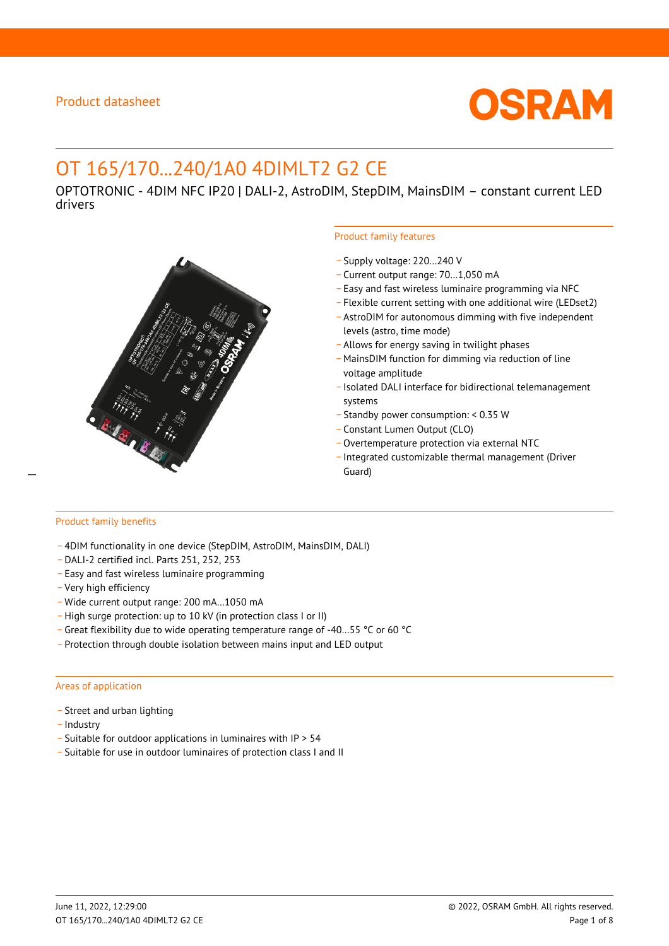

# OT 165/170...240/1A0 4DIMLT2 G2 CE

OPTOTRONIC - 4DIM NFC IP20 | DALI-2, AstroDIM, StepDIM, MainsDIM – constant current LED drivers



#### Product family features

- \_ Supply voltage: 220…240 V
- \_ Current output range: 70…1,050 mA
- \_ Easy and fast wireless luminaire programming via NFC
- \_ Flexible current setting with one additional wire (LEDset2)
- \_ AstroDIM for autonomous dimming with five independent levels (astro, time mode)
- \_ Allows for energy saving in twilight phases
- \_ MainsDIM function for dimming via reduction of line voltage amplitude
- \_ Isolated DALI interface for bidirectional telemanagement systems
- \_ Standby power consumption: < 0.35 W
- \_ Constant Lumen Output (CLO)
- \_ Overtemperature protection via external NTC
- \_ Integrated customizable thermal management (Driver

# Product family benefits

- \_ 4DIM functionality in one device (StepDIM, AstroDIM, MainsDIM, DALI)
- \_ DALI-2 certified incl. Parts 251, 252, 253
- \_ Easy and fast wireless luminaire programming
- \_ Very high efficiency
- \_ Wide current output range: 200 mA…1050 mA
- \_ High surge protection: up to 10 kV (in protection class I or II)
- \_ Great flexibility due to wide operating temperature range of -40…55 °C or 60 °C
- \_ Protection through double isolation between mains input and LED output

#### Areas of application

- Street and urban lighting
- Industry
- \_ Suitable for outdoor applications in luminaires with IP > 54
- \_ Suitable for use in outdoor luminaires of protection class I and II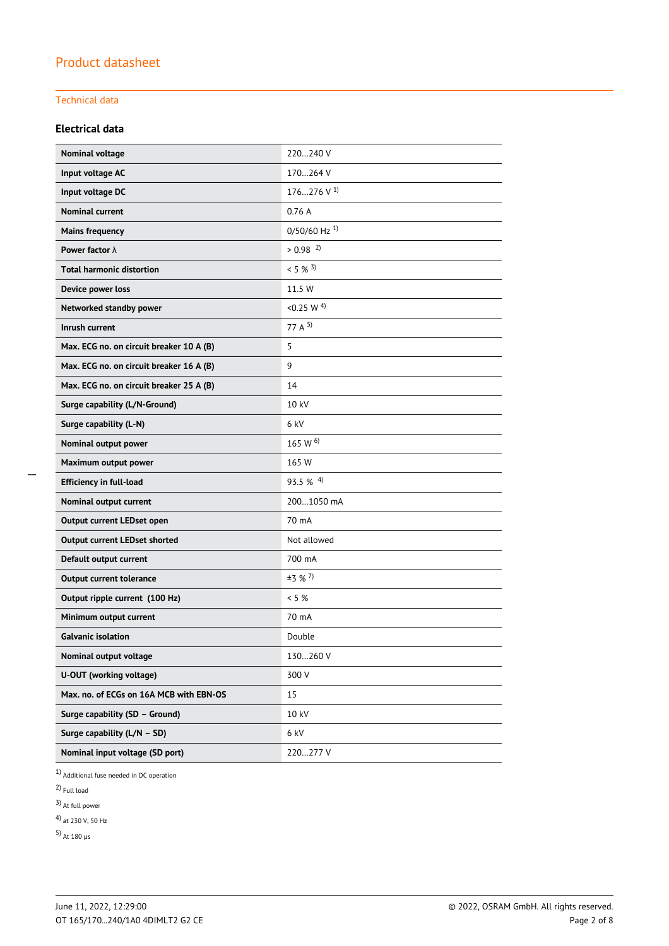### Technical data

#### **Electrical data**

| Nominal voltage                          | 220240 V                   |
|------------------------------------------|----------------------------|
| Input voltage AC                         | 170264 V                   |
| Input voltage DC                         | 176276 V $^{1}$            |
| <b>Nominal current</b>                   | 0.76A                      |
| <b>Mains frequency</b>                   | $0/50/60$ Hz <sup>1)</sup> |
| Power factor $\lambda$                   | $> 0.98$ <sup>2)</sup>     |
| <b>Total harmonic distortion</b>         | $< 5 \%$ 3)                |
| Device power loss                        | 11.5 W                     |
| Networked standby power                  | <0.25 W $^{4)}$            |
| Inrush current                           | 77 A $5$                   |
| Max. ECG no. on circuit breaker 10 A (B) | 5                          |
| Max. ECG no. on circuit breaker 16 A (B) | 9                          |
| Max. ECG no. on circuit breaker 25 A (B) | 14                         |
| Surge capability (L/N-Ground)            | 10 kV                      |
| Surge capability (L-N)                   | 6 kV                       |
| Nominal output power                     | 165 W $^{6)}$              |
| Maximum output power                     | 165 W                      |
| <b>Efficiency in full-load</b>           | $93.5\%$ <sup>4)</sup>     |
| Nominal output current                   | 2001050 mA                 |
| Output current LEDset open               | 70 mA                      |
| <b>Output current LEDset shorted</b>     | Not allowed                |
| Default output current                   | 700 mA                     |
| <b>Output current tolerance</b>          | $±3$ % <sup>7</sup> )      |
| Output ripple current (100 Hz)           | $< 5 \%$                   |
| Minimum output current                   | 70 mA                      |
| <b>Galvanic isolation</b>                | Double                     |
| Nominal output voltage                   | 130260 V                   |
| U-OUT (working voltage)                  | 300 V                      |
| Max. no. of ECGs on 16A MCB with EBN-OS  | 15                         |
| Surge capability (SD - Ground)           | 10 kV                      |
| Surge capability (L/N - SD)              | 6 kV                       |
| Nominal input voltage (SD port)          | 220277 V                   |

1) Additional fuse needed in DC operation

2) Full load

 $\overline{a}$ 

3) At full power

4) at 230 V, 50 Hz

5) At 180 µs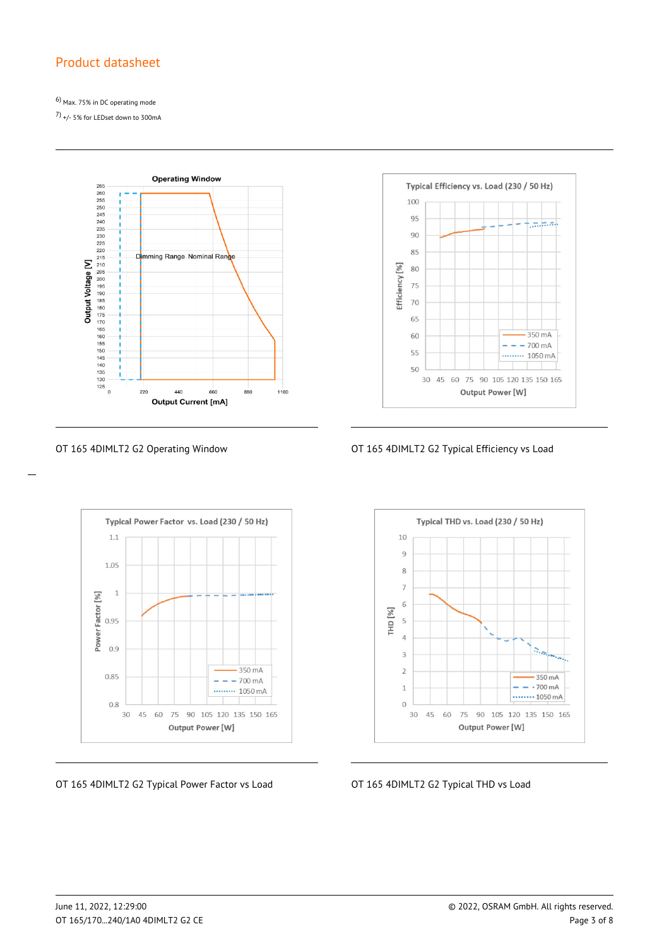6) Max. 75% in DC operating mode

7) +/- 5% for LEDset down to 300mA



Typical Efficiency vs. Load (230 / 50 Hz) 100 95  $\pi, \pi, \pi$ .  $90^{\circ}$ 85 Efficiency [%] 80 75 70 65 350 mA 60  $- - - 700 \text{ mA}$ 55 ......... 1050 mA 50 30 45 60 75 90 105 120 135 150 165 Output Power [W]





OT 165 4DIMLT2 G2 Typical Power Factor vs Load **OT 165 4DIMLT2 G2 Typical THD vs Load** 



 $\overline{a}$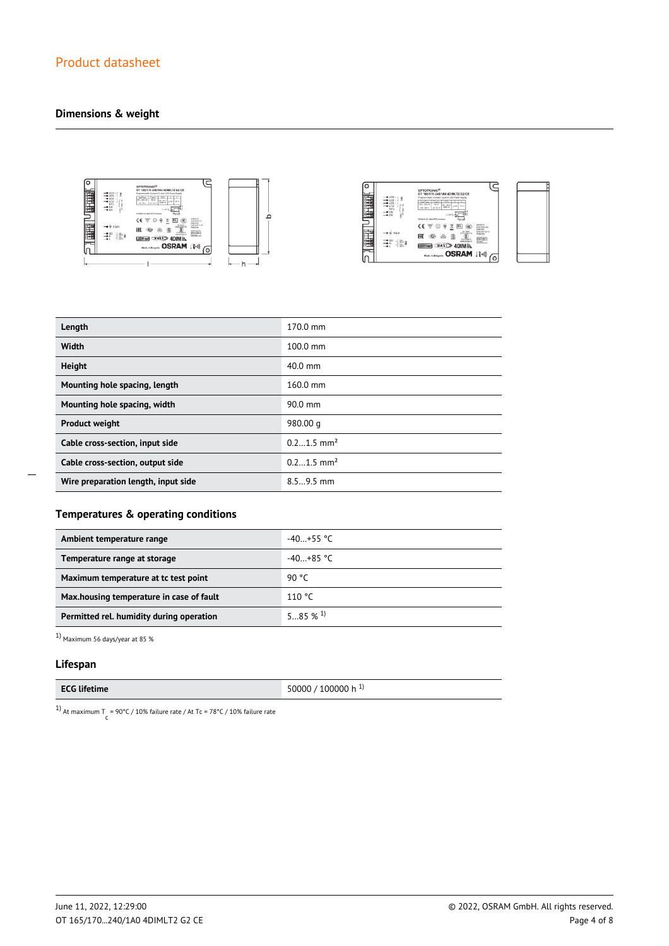### **Dimensions & weight**







| Length                              | 170.0 mm                 |
|-------------------------------------|--------------------------|
| Width                               | $100.0 \text{ mm}$       |
| <b>Height</b>                       | $40.0$ mm                |
| Mounting hole spacing, length       | $160.0 \text{ mm}$       |
| Mounting hole spacing, width        | $90.0$ mm                |
| <b>Product weight</b>               | 980.00 g                 |
| Cable cross-section, input side     | $0.21.5$ mm <sup>2</sup> |
| Cable cross-section, output side    | $0.21.5$ mm <sup>2</sup> |
| Wire preparation length, input side | $8.59.5$ mm              |

 $\overline{a}$ 

### **Temperatures & operating conditions**

| Ambient temperature range                | $-40+55$ °C          |
|------------------------------------------|----------------------|
| Temperature range at storage             | $-40+85$ °C          |
| Maximum temperature at tc test point     | 90 °C                |
| Max.housing temperature in case of fault | 110 °C               |
| Permitted rel. humidity during operation | $5 \t 85 \t 96 \t 1$ |

 $^{1}$  Maximum 56 days/year at 85  $\%$ 

#### **Lifespan**

| <b>ECG lifetime</b> | 50000 / 100000 h <sup>1)</sup> |
|---------------------|--------------------------------|
|---------------------|--------------------------------|

<sup>1)</sup> At maximum T = 90°C / 10% failure rate / At Tc = 78°C / 10% failure rate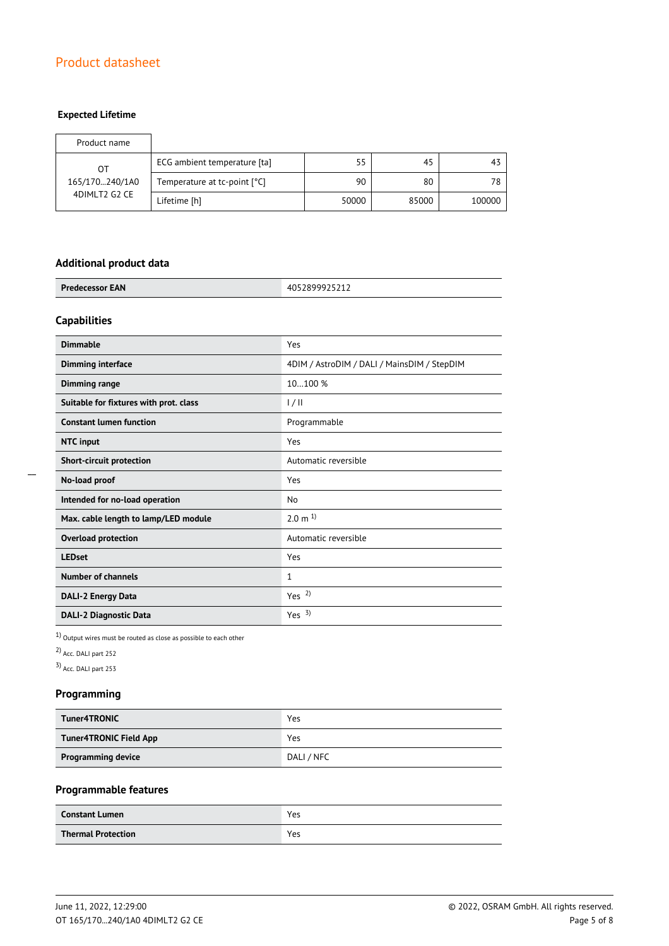### **Expected Lifetime**

| Product name   |                              |       |       |        |
|----------------|------------------------------|-------|-------|--------|
| OТ             | ECG ambient temperature [ta] | 55    | 45    | 43     |
| 165/170240/1A0 | Temperature at tc-point [°C] | 90    | 80    | 78     |
| 4DIMLT2 G2 CE  | Lifetime [h]                 | 50000 | 85000 | 100000 |

#### **Additional product data**

| <b>Predecessor EAN</b> | 72 J Z I Z<br>TUJ ZU J J |
|------------------------|--------------------------|
|                        |                          |

### **Capabilities**

| <b>Dimmable</b>                        | Yes                                         |
|----------------------------------------|---------------------------------------------|
| <b>Dimming interface</b>               | 4DIM / AstroDIM / DALI / MainsDIM / StepDIM |
| Dimming range                          | 10100 %                                     |
| Suitable for fixtures with prot. class | 1/11                                        |
| <b>Constant lumen function</b>         | Programmable                                |
| <b>NTC</b> input                       | Yes                                         |
| Short-circuit protection               | Automatic reversible                        |
| No-load proof                          | Yes                                         |
| Intended for no-load operation         | No                                          |
| Max. cable length to lamp/LED module   | $2.0 \text{ m}^{1}$                         |
| <b>Overload protection</b>             | Automatic reversible                        |
| <b>LEDset</b>                          | Yes                                         |
| Number of channels                     | $\mathbf{1}$                                |
| <b>DALI-2 Energy Data</b>              | Yes $2$                                     |
| <b>DALI-2 Diagnostic Data</b>          | Yes $3)$                                    |

 $1)$  Output wires must be routed as close as possible to each other

2) Acc. DALI part 252

3) Acc. DALI part 253

### **Programming**

| <b>Tuner4TRONIC</b>           | Yes        |
|-------------------------------|------------|
| <b>Tuner4TRONIC Field App</b> | Yes        |
| <b>Programming device</b>     | DALI / NFC |

### **Programmable features**

| <b>Constant Lumen</b>     | Yes |
|---------------------------|-----|
| <b>Thermal Protection</b> | Yes |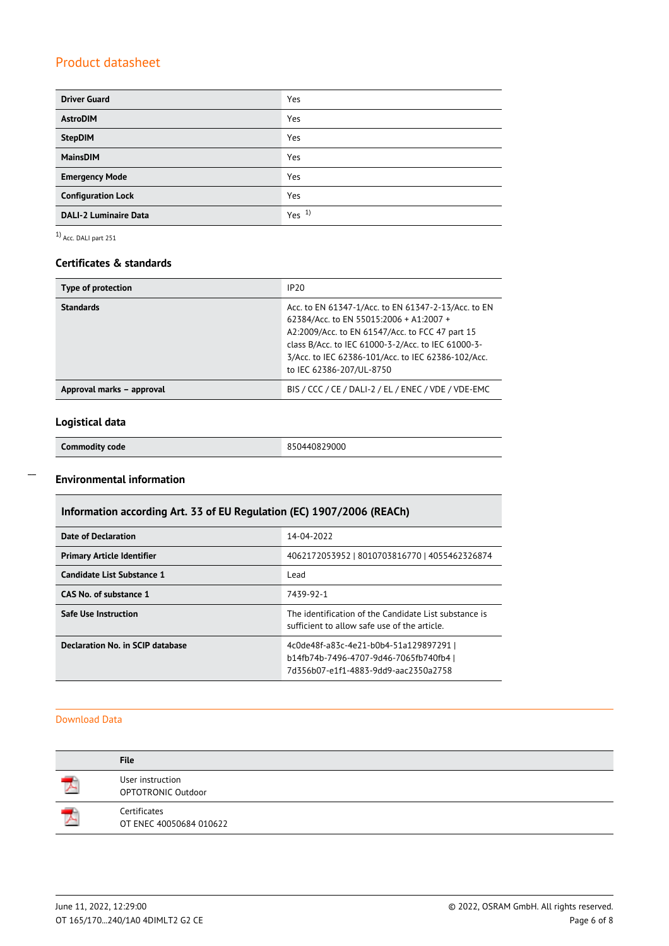| <b>Driver Guard</b>          | Yes              |
|------------------------------|------------------|
| <b>AstroDIM</b>              | Yes              |
| <b>StepDIM</b>               | Yes              |
| <b>MainsDIM</b>              | Yes              |
| <b>Emergency Mode</b>        | Yes              |
| <b>Configuration Lock</b>    | Yes              |
| <b>DALI-2 Luminaire Data</b> | Yes <sup>1</sup> |

1) Acc. DALI part 251

#### **Certificates & standards**

| Type of protection        | IP20                                                                                                                                                                                                                                                                                      |
|---------------------------|-------------------------------------------------------------------------------------------------------------------------------------------------------------------------------------------------------------------------------------------------------------------------------------------|
| <b>Standards</b>          | Acc. to EN 61347-1/Acc. to EN 61347-2-13/Acc. to EN<br>62384/Acc. to EN 55015:2006 + A1:2007 +<br>A2:2009/Acc. to EN 61547/Acc. to FCC 47 part 15<br>class B/Acc. to IEC 61000-3-2/Acc. to IEC 61000-3-<br>3/Acc. to IEC 62386-101/Acc. to IEC 62386-102/Acc.<br>to IEC 62386-207/UL-8750 |
| Approval marks - approval | BIS / CCC / CE / DALI-2 / EL / ENEC / VDE / VDE-EMC                                                                                                                                                                                                                                       |

# **Logistical data**

 $\overline{a}$ 

### **Environmental information**

| Information according Art. 33 of EU Regulation (EC) 1907/2006 (REACh) |  |  |  |
|-----------------------------------------------------------------------|--|--|--|
|-----------------------------------------------------------------------|--|--|--|

| <b>Date of Declaration</b>        | 14-04-2022                                                                                                               |
|-----------------------------------|--------------------------------------------------------------------------------------------------------------------------|
| <b>Primary Article Identifier</b> | 4062172053952   8010703816770   4055462326874                                                                            |
| Candidate List Substance 1        | Lead                                                                                                                     |
| CAS No. of substance 1            | 7439-92-1                                                                                                                |
| Safe Use Instruction              | The identification of the Candidate List substance is<br>sufficient to allow safe use of the article.                    |
| Declaration No. in SCIP database  | 4c0de48f-a83c-4e21-b0b4-51a129897291  <br>b14fb74b-7496-4707-9d46-7065fb740fb4 l<br>7d356b07-e1f1-4883-9dd9-aac2350a2758 |

#### Download Data

| <b>File</b>                             |
|-----------------------------------------|
| User instruction<br>OPTOTRONIC Outdoor  |
| Certificates<br>OT ENEC 40050684 010622 |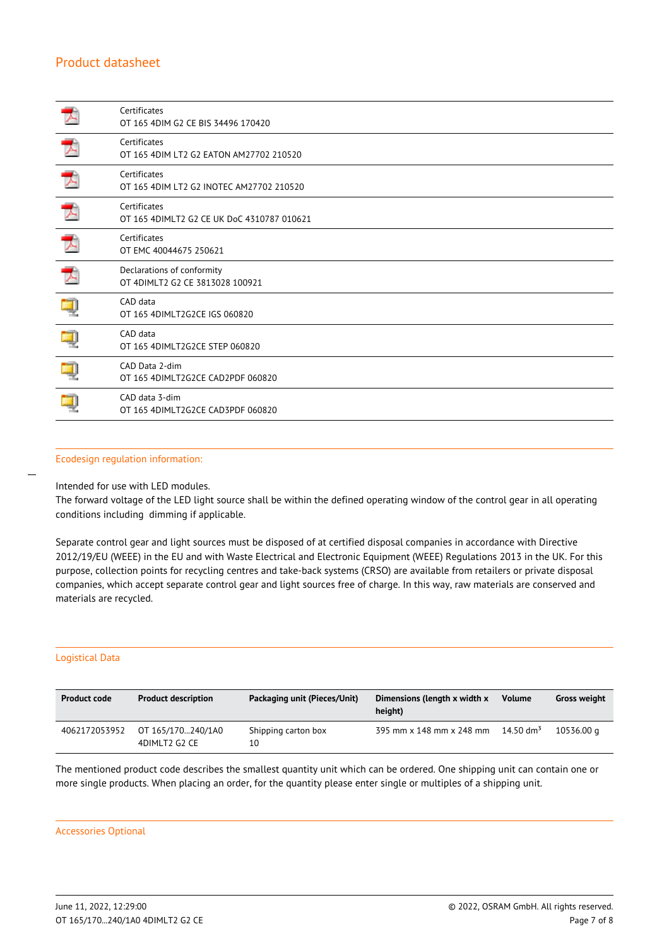|   | Certificates<br>OT 165 4DIM G2 CE BIS 34496 170420            |
|---|---------------------------------------------------------------|
| 天 | Certificates<br>OT 165 4DIM LT2 G2 EATON AM27702 210520       |
| 天 | Certificates<br>OT 165 4DIM LT2 G2 INOTEC AM27702 210520      |
|   | Certificates<br>OT 165 4DIMLT2 G2 CE UK DoC 4310787 010621    |
| 天 | Certificates<br>OT EMC 40044675 250621                        |
| ブ | Declarations of conformity<br>OT 4DIMLT2 G2 CE 3813028 100921 |
|   | CAD data<br>OT 165 4DIMLT2G2CE IGS 060820                     |
|   | CAD data<br>OT 165 4DIMLT2G2CE STEP 060820                    |
|   | CAD Data 2-dim<br>OT 165 4DIMLT2G2CE CAD2PDF 060820           |
|   | CAD data 3-dim<br>OT 165 4DIMLT2G2CE CAD3PDF 060820           |

#### Ecodesign regulation information:

Intended for use with LED modules.

The forward voltage of the LED light source shall be within the defined operating window of the control gear in all operating conditions including dimming if applicable.

Separate control gear and light sources must be disposed of at certified disposal companies in accordance with Directive 2012/19/EU (WEEE) in the EU and with Waste Electrical and Electronic Equipment (WEEE) Regulations 2013 in the UK. For this purpose, collection points for recycling centres and take-back systems (CRSO) are available from retailers or private disposal companies, which accept separate control gear and light sources free of charge. In this way, raw materials are conserved and materials are recycled.

#### Logistical Data

 $\overline{a}$ 

| <b>Product code</b> | <b>Product description</b>         | Packaging unit (Pieces/Unit) | Dimensions (length x width x<br>height) | <b>Volume</b>         | <b>Gross weight</b> |
|---------------------|------------------------------------|------------------------------|-----------------------------------------|-----------------------|---------------------|
| 4062172053952       | OT 165/170240/1A0<br>4DIMLT2 G2 CE | Shipping carton box<br>10    | 395 mm x 148 mm x 248 mm                | 14.50 dm <sup>3</sup> | 10536.00 g          |

The mentioned product code describes the smallest quantity unit which can be ordered. One shipping unit can contain one or more single products. When placing an order, for the quantity please enter single or multiples of a shipping unit.

#### Accessories Optional